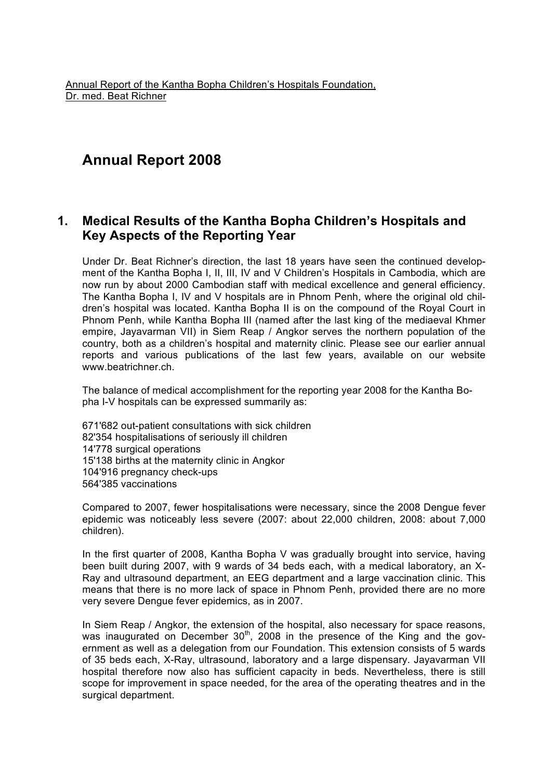Annual Report of the Kantha Bopha Children's Hospitals Foundation, Dr. med. Beat Richner

# **Annual Report 2008**

# **1. Medical Results of the Kantha Bopha Children's Hospitals and Key Aspects of the Reporting Year**

Under Dr. Beat Richner's direction, the last 18 years have seen the continued development of the Kantha Bopha I, II, III, IV and V Children's Hospitals in Cambodia, which are now run by about 2000 Cambodian staff with medical excellence and general efficiency. The Kantha Bopha I, IV and V hospitals are in Phnom Penh, where the original old children's hospital was located. Kantha Bopha II is on the compound of the Royal Court in Phnom Penh, while Kantha Bopha III (named after the last king of the mediaeval Khmer empire, Jayavarman VII) in Siem Reap / Angkor serves the northern population of the country, both as a children's hospital and maternity clinic. Please see our earlier annual reports and various publications of the last few years, available on our website www.beatrichner.ch.

The balance of medical accomplishment for the reporting year 2008 for the Kantha Bopha I-V hospitals can be expressed summarily as:

671'682 out-patient consultations with sick children 82'354 hospitalisations of seriously ill children 14'778 surgical operations 15'138 births at the maternity clinic in Angkor 104'916 pregnancy check-ups 564'385 vaccinations

Compared to 2007, fewer hospitalisations were necessary, since the 2008 Dengue fever epidemic was noticeably less severe (2007: about 22,000 children, 2008: about 7,000 children).

In the first quarter of 2008, Kantha Bopha V was gradually brought into service, having been built during 2007, with 9 wards of 34 beds each, with a medical laboratory, an X-Ray and ultrasound department, an EEG department and a large vaccination clinic. This means that there is no more lack of space in Phnom Penh, provided there are no more very severe Dengue fever epidemics, as in 2007.

In Siem Reap / Angkor, the extension of the hospital, also necessary for space reasons, was inaugurated on December  $30<sup>th</sup>$ , 2008 in the presence of the King and the government as well as a delegation from our Foundation. This extension consists of 5 wards of 35 beds each, X-Ray, ultrasound, laboratory and a large dispensary. Jayavarman VII hospital therefore now also has sufficient capacity in beds. Nevertheless, there is still scope for improvement in space needed, for the area of the operating theatres and in the surgical department.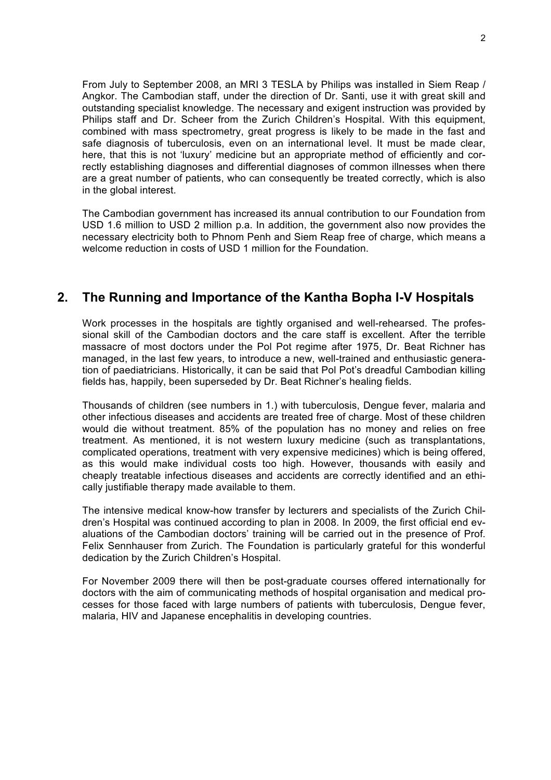From July to September 2008, an MRI 3 TESLA by Philips was installed in Siem Reap / Angkor. The Cambodian staff, under the direction of Dr. Santi, use it with great skill and outstanding specialist knowledge. The necessary and exigent instruction was provided by Philips staff and Dr. Scheer from the Zurich Children's Hospital. With this equipment, combined with mass spectrometry, great progress is likely to be made in the fast and safe diagnosis of tuberculosis, even on an international level. It must be made clear, here, that this is not 'luxury' medicine but an appropriate method of efficiently and correctly establishing diagnoses and differential diagnoses of common illnesses when there are a great number of patients, who can consequently be treated correctly, which is also in the global interest.

The Cambodian government has increased its annual contribution to our Foundation from USD 1.6 million to USD 2 million p.a. In addition, the government also now provides the necessary electricity both to Phnom Penh and Siem Reap free of charge, which means a welcome reduction in costs of USD 1 million for the Foundation.

## **2. The Running and Importance of the Kantha Bopha I-V Hospitals**

Work processes in the hospitals are tightly organised and well-rehearsed. The professional skill of the Cambodian doctors and the care staff is excellent. After the terrible massacre of most doctors under the Pol Pot regime after 1975, Dr. Beat Richner has managed, in the last few years, to introduce a new, well-trained and enthusiastic generation of paediatricians. Historically, it can be said that Pol Pot's dreadful Cambodian killing fields has, happily, been superseded by Dr. Beat Richner's healing fields.

Thousands of children (see numbers in 1.) with tuberculosis, Dengue fever, malaria and other infectious diseases and accidents are treated free of charge. Most of these children would die without treatment. 85% of the population has no money and relies on free treatment. As mentioned, it is not western luxury medicine (such as transplantations, complicated operations, treatment with very expensive medicines) which is being offered, as this would make individual costs too high. However, thousands with easily and cheaply treatable infectious diseases and accidents are correctly identified and an ethically justifiable therapy made available to them.

The intensive medical know-how transfer by lecturers and specialists of the Zurich Children's Hospital was continued according to plan in 2008. In 2009, the first official end evaluations of the Cambodian doctors' training will be carried out in the presence of Prof. Felix Sennhauser from Zurich. The Foundation is particularly grateful for this wonderful dedication by the Zurich Children's Hospital.

For November 2009 there will then be post-graduate courses offered internationally for doctors with the aim of communicating methods of hospital organisation and medical processes for those faced with large numbers of patients with tuberculosis, Dengue fever, malaria, HIV and Japanese encephalitis in developing countries.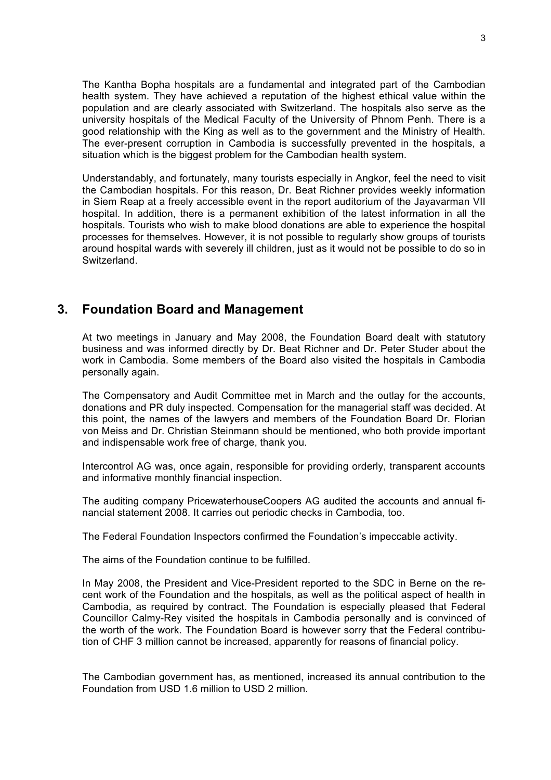The Kantha Bopha hospitals are a fundamental and integrated part of the Cambodian health system. They have achieved a reputation of the highest ethical value within the population and are clearly associated with Switzerland. The hospitals also serve as the university hospitals of the Medical Faculty of the University of Phnom Penh. There is a good relationship with the King as well as to the government and the Ministry of Health. The ever-present corruption in Cambodia is successfully prevented in the hospitals, a situation which is the biggest problem for the Cambodian health system.

Understandably, and fortunately, many tourists especially in Angkor, feel the need to visit the Cambodian hospitals. For this reason, Dr. Beat Richner provides weekly information in Siem Reap at a freely accessible event in the report auditorium of the Jayavarman VII hospital. In addition, there is a permanent exhibition of the latest information in all the hospitals. Tourists who wish to make blood donations are able to experience the hospital processes for themselves. However, it is not possible to regularly show groups of tourists around hospital wards with severely ill children, just as it would not be possible to do so in Switzerland.

#### **3. Foundation Board and Management**

At two meetings in January and May 2008, the Foundation Board dealt with statutory business and was informed directly by Dr. Beat Richner and Dr. Peter Studer about the work in Cambodia. Some members of the Board also visited the hospitals in Cambodia personally again.

The Compensatory and Audit Committee met in March and the outlay for the accounts, donations and PR duly inspected. Compensation for the managerial staff was decided. At this point, the names of the lawyers and members of the Foundation Board Dr. Florian von Meiss and Dr. Christian Steinmann should be mentioned, who both provide important and indispensable work free of charge, thank you.

Intercontrol AG was, once again, responsible for providing orderly, transparent accounts and informative monthly financial inspection.

The auditing company PricewaterhouseCoopers AG audited the accounts and annual financial statement 2008. It carries out periodic checks in Cambodia, too.

The Federal Foundation Inspectors confirmed the Foundation's impeccable activity.

The aims of the Foundation continue to be fulfilled.

In May 2008, the President and Vice-President reported to the SDC in Berne on the recent work of the Foundation and the hospitals, as well as the political aspect of health in Cambodia, as required by contract. The Foundation is especially pleased that Federal Councillor Calmy-Rey visited the hospitals in Cambodia personally and is convinced of the worth of the work. The Foundation Board is however sorry that the Federal contribution of CHF 3 million cannot be increased, apparently for reasons of financial policy.

The Cambodian government has, as mentioned, increased its annual contribution to the Foundation from USD 1.6 million to USD 2 million.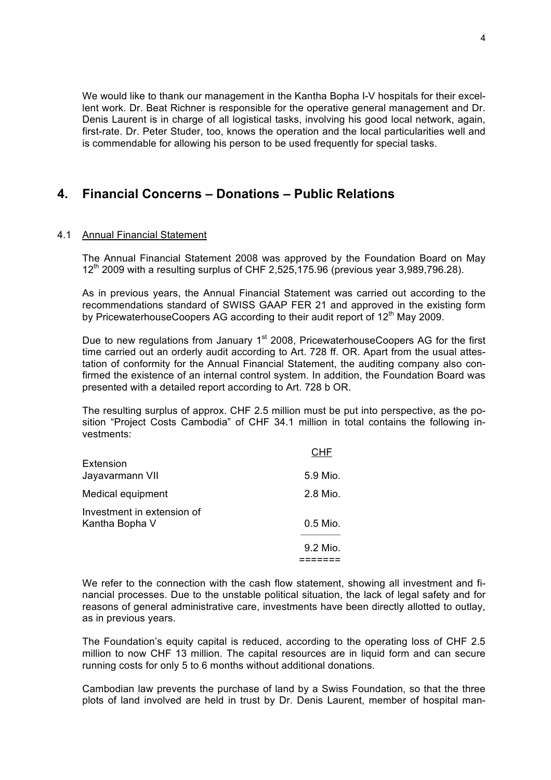We would like to thank our management in the Kantha Bopha I-V hospitals for their excellent work. Dr. Beat Richner is responsible for the operative general management and Dr. Denis Laurent is in charge of all logistical tasks, involving his good local network, again, first-rate. Dr. Peter Studer, too, knows the operation and the local particularities well and is commendable for allowing his person to be used frequently for special tasks.

## **4. Financial Concerns – Donations – Public Relations**

#### 4.1 Annual Financial Statement

The Annual Financial Statement 2008 was approved by the Foundation Board on May  $12<sup>th</sup>$  2009 with a resulting surplus of CHF 2,525,175.96 (previous year 3,989,796.28).

As in previous years, the Annual Financial Statement was carried out according to the recommendations standard of SWISS GAAP FER 21 and approved in the existing form by PricewaterhouseCoopers AG according to their audit report of 12<sup>th</sup> May 2009.

Due to new regulations from January 1<sup>st</sup> 2008. PricewaterhouseCoopers AG for the first time carried out an orderly audit according to Art. 728 ff. OR. Apart from the usual attestation of conformity for the Annual Financial Statement, the auditing company also confirmed the existence of an internal control system. In addition, the Foundation Board was presented with a detailed report according to Art. 728 b OR.

The resulting surplus of approx. CHF 2.5 million must be put into perspective, as the position "Project Costs Cambodia" of CHF 34.1 million in total contains the following investments:

|                                              | CHE        |
|----------------------------------------------|------------|
| Extension<br>Jayavarmann VII                 | 5.9 Mio.   |
| Medical equipment                            | 2.8 Mio.   |
| Investment in extension of<br>Kantha Bopha V | $0.5$ Mio. |
|                                              | 9.2 Mio.   |
|                                              |            |

We refer to the connection with the cash flow statement, showing all investment and financial processes. Due to the unstable political situation, the lack of legal safety and for reasons of general administrative care, investments have been directly allotted to outlay, as in previous years.

The Foundation's equity capital is reduced, according to the operating loss of CHF 2.5 million to now CHF 13 million. The capital resources are in liquid form and can secure running costs for only 5 to 6 months without additional donations.

Cambodian law prevents the purchase of land by a Swiss Foundation, so that the three plots of land involved are held in trust by Dr. Denis Laurent, member of hospital man-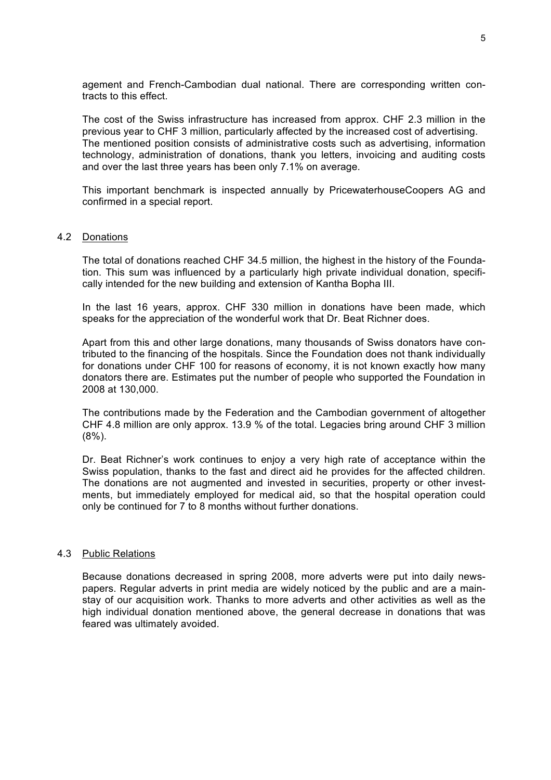agement and French-Cambodian dual national. There are corresponding written contracts to this effect.

The cost of the Swiss infrastructure has increased from approx. CHF 2.3 million in the previous year to CHF 3 million, particularly affected by the increased cost of advertising. The mentioned position consists of administrative costs such as advertising, information technology, administration of donations, thank you letters, invoicing and auditing costs and over the last three years has been only 7.1% on average.

This important benchmark is inspected annually by PricewaterhouseCoopers AG and confirmed in a special report.

#### 4.2 Donations

The total of donations reached CHF 34.5 million, the highest in the history of the Foundation. This sum was influenced by a particularly high private individual donation, specifically intended for the new building and extension of Kantha Bopha III.

In the last 16 years, approx. CHF 330 million in donations have been made, which speaks for the appreciation of the wonderful work that Dr. Beat Richner does.

Apart from this and other large donations, many thousands of Swiss donators have contributed to the financing of the hospitals. Since the Foundation does not thank individually for donations under CHF 100 for reasons of economy, it is not known exactly how many donators there are. Estimates put the number of people who supported the Foundation in 2008 at 130,000.

The contributions made by the Federation and the Cambodian government of altogether CHF 4.8 million are only approx. 13.9 % of the total. Legacies bring around CHF 3 million (8%).

Dr. Beat Richner's work continues to enjoy a very high rate of acceptance within the Swiss population, thanks to the fast and direct aid he provides for the affected children. The donations are not augmented and invested in securities, property or other investments, but immediately employed for medical aid, so that the hospital operation could only be continued for 7 to 8 months without further donations.

#### 4.3 Public Relations

Because donations decreased in spring 2008, more adverts were put into daily newspapers. Regular adverts in print media are widely noticed by the public and are a mainstay of our acquisition work. Thanks to more adverts and other activities as well as the high individual donation mentioned above, the general decrease in donations that was feared was ultimately avoided.